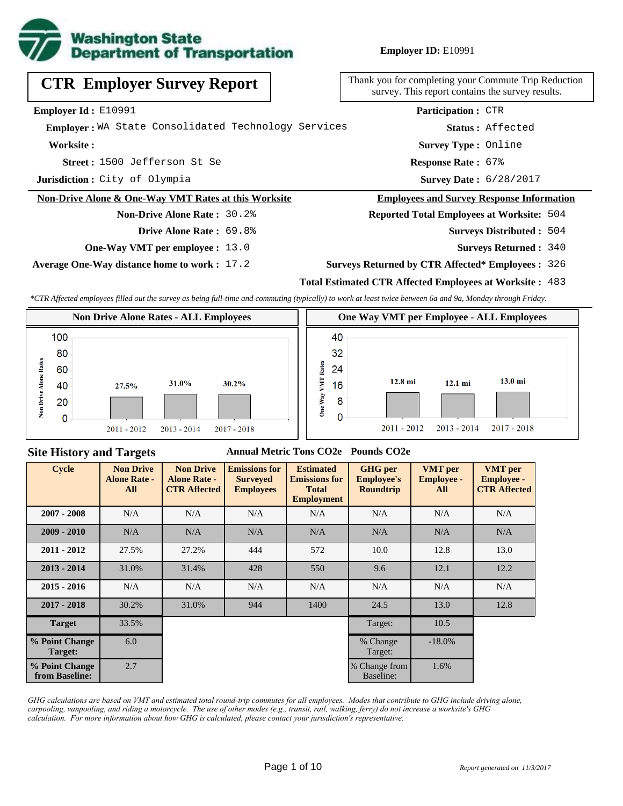

**Employer ID:** E10991

| <b>CTR Employer Survey Report</b>                    | Thank you for completing your Commute Trip Reduc<br>survey. This report contains the survey results. |
|------------------------------------------------------|------------------------------------------------------------------------------------------------------|
| Employer Id: E10991                                  | <b>Participation: CTR</b>                                                                            |
| Emplover: WA State Consolidated Technology Services  | Status: Affected                                                                                     |
| Worksite:                                            | <b>Survey Type: Online</b>                                                                           |
| Street: 1500 Jefferson St Se                         | <b>Response Rate: 67%</b>                                                                            |
| Jurisdiction: City of Olympia                        | <b>Survey Date: 6/28/2017</b>                                                                        |
| Non-Drive Alone & One-Way VMT Rates at this Worksite | <b>Employees and Survey Response Information</b>                                                     |
| <b>Non-Drive Alone Rate: 30.2%</b>                   | <b>Reported Total Employees at Worksite: 504</b>                                                     |
| Drive Alone Rate: 69.8%                              | <b>Surveys Distributed: 504</b>                                                                      |
| <b>One-Way VMT per employee :</b> 13.0               | <b>Surveys Returned: 340</b>                                                                         |

**Average One-Way distance home to work :** 17.2

eduction survey. This report contains the survey results.

#### <u>nation</u>

- 504
	- **Surveys Returned :** 340

#### **Surveys Returned by CTR Affected\* Employees :** 326

### **Total Estimated CTR Affected Employees at Worksite :** 483

*\*CTR Affected employees filled out the survey as being full-time and commuting (typically) to work at least twice between 6a and 9a, Monday through Friday.*



## **Site History and Targets**

#### **Annual Metric Tons CO2e Pounds CO2e**

| <b>Cycle</b>                     | <b>Non Drive</b><br><b>Alone Rate -</b><br>All | <b>Non Drive</b><br><b>Alone Rate -</b><br><b>CTR Affected</b> | <b>Emissions for</b><br><b>Surveyed</b><br><b>Employees</b> | <b>Estimated</b><br><b>Emissions for</b><br><b>Total</b><br><b>Employment</b> | <b>GHG</b> per<br><b>Employee's</b><br><b>Roundtrip</b> | <b>VMT</b> per<br><b>Employee -</b><br>All | <b>VMT</b> per<br><b>Employee -</b><br><b>CTR Affected</b> |
|----------------------------------|------------------------------------------------|----------------------------------------------------------------|-------------------------------------------------------------|-------------------------------------------------------------------------------|---------------------------------------------------------|--------------------------------------------|------------------------------------------------------------|
| $2007 - 2008$                    | N/A                                            | N/A                                                            | N/A                                                         | N/A                                                                           | N/A                                                     | N/A                                        | N/A                                                        |
| $2009 - 2010$                    | N/A                                            | N/A                                                            | N/A                                                         | N/A                                                                           | N/A                                                     | N/A                                        | N/A                                                        |
| $2011 - 2012$                    | 27.5%                                          | 27.2%                                                          | 444                                                         | 572                                                                           | 10.0                                                    | 12.8                                       | 13.0                                                       |
| $2013 - 2014$                    | 31.0%                                          | 31.4%                                                          | 428                                                         | 550                                                                           | 9.6                                                     | 12.1                                       | 12.2                                                       |
| $2015 - 2016$                    | N/A                                            | N/A                                                            | N/A                                                         | N/A                                                                           | N/A                                                     | N/A                                        | N/A                                                        |
| $2017 - 2018$                    | 30.2%                                          | 31.0%                                                          | 944                                                         | 1400                                                                          | 24.5                                                    | 13.0                                       | 12.8                                                       |
| <b>Target</b>                    | 33.5%                                          |                                                                |                                                             |                                                                               | Target:                                                 | 10.5                                       |                                                            |
| % Point Change<br>Target:        | 6.0                                            |                                                                |                                                             |                                                                               | % Change<br>Target:                                     | $-18.0\%$                                  |                                                            |
| % Point Change<br>from Baseline: | 2.7                                            |                                                                |                                                             |                                                                               | % Change from<br>Baseline:                              | 1.6%                                       |                                                            |

*GHG calculations are based on VMT and estimated total round-trip commutes for all employees. Modes that contribute to GHG include driving alone, carpooling, vanpooling, and riding a motorcycle. The use of other modes (e.g., transit, rail, walking, ferry) do not increase a worksite's GHG calculation. For more information about how GHG is calculated, please contact your jurisdiction's representative.*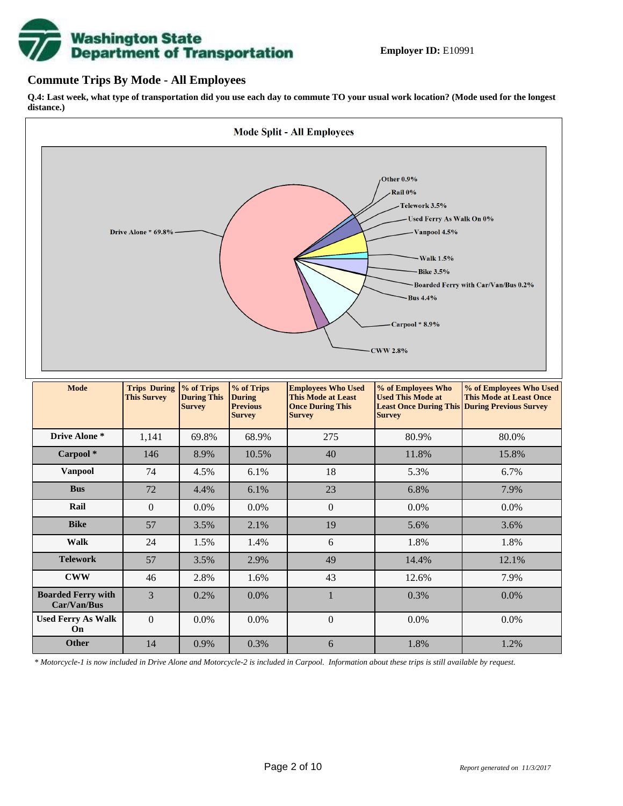# **Washington State<br>Department of Transportation**

## **Commute Trips By Mode - All Employees**

**Q.4: Last week, what type of transportation did you use each day to commute TO your usual work location? (Mode used for the longest distance.)**



| Drive Alone *                            | 1,141        | 69.8%   | 68.9%   | 275          | 80.9%   | 80.0%   |
|------------------------------------------|--------------|---------|---------|--------------|---------|---------|
| Carpool*                                 | 146          | 8.9%    | 10.5%   | 40           | 11.8%   | 15.8%   |
| <b>Vanpool</b>                           | 74           | 4.5%    | 6.1%    | 18           | 5.3%    | 6.7%    |
| <b>Bus</b>                               | 72           | 4.4%    | 6.1%    | 23           | 6.8%    | 7.9%    |
| Rail                                     | $\mathbf{0}$ | 0.0%    | 0.0%    | $\mathbf{0}$ | $0.0\%$ | 0.0%    |
| <b>Bike</b>                              | 57           | 3.5%    | 2.1%    | 19           | 5.6%    | 3.6%    |
| <b>Walk</b>                              | 24           | 1.5%    | 1.4%    | 6            | 1.8%    | 1.8%    |
| <b>Telework</b>                          | 57           | 3.5%    | 2.9%    | 49           | 14.4%   | 12.1%   |
| <b>CWW</b>                               | 46           | 2.8%    | 1.6%    | 43           | 12.6%   | 7.9%    |
| <b>Boarded Ferry with</b><br>Car/Van/Bus | 3            | 0.2%    | $0.0\%$ | 1            | 0.3%    | $0.0\%$ |
| <b>Used Ferry As Walk</b><br><b>On</b>   | $\theta$     | $0.0\%$ | 0.0%    | $\mathbf{0}$ | $0.0\%$ | $0.0\%$ |
| <b>Other</b>                             | 14           | 0.9%    | 0.3%    | 6            | 1.8%    | 1.2%    |

*\* Motorcycle-1 is now included in Drive Alone and Motorcycle-2 is included in Carpool. Information about these trips is still available by request.*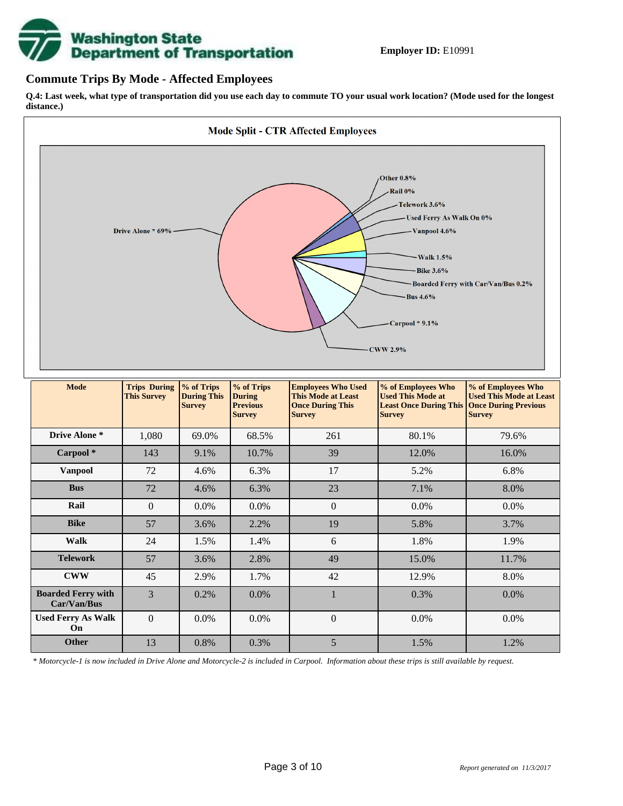

## **Commute Trips By Mode - Affected Employees**

**Q.4: Last week, what type of transportation did you use each day to commute TO your usual work location? (Mode used for the longest distance.)**



*\* Motorcycle-1 is now included in Drive Alone and Motorcycle-2 is included in Carpool. Information about these trips is still available by request.*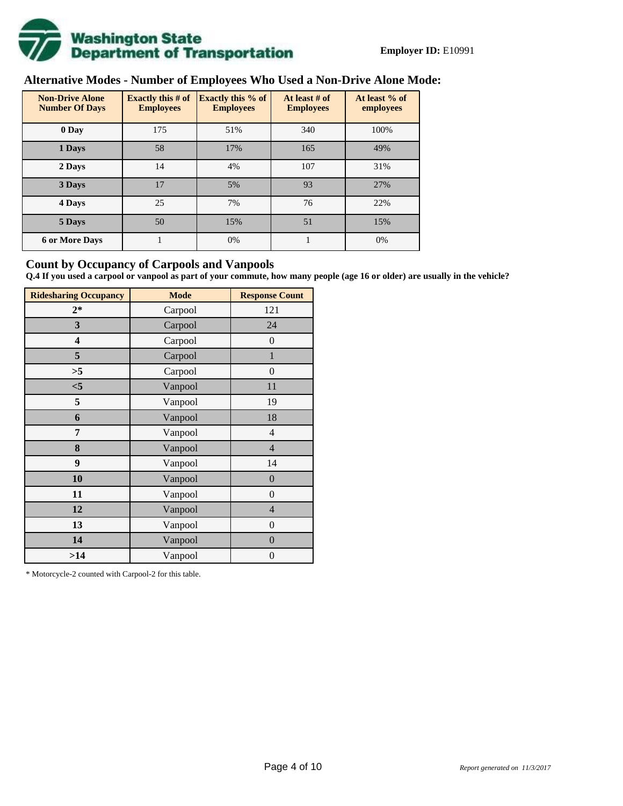

# **Alternative Modes - Number of Employees Who Used a Non-Drive Alone Mode:**

| <b>Non-Drive Alone</b><br><b>Number Of Days</b> | Exactly this $#$ of<br><b>Employees</b> | <b>Exactly this % of</b><br><b>Employees</b> | At least # of<br><b>Employees</b> | At least % of<br>employees |
|-------------------------------------------------|-----------------------------------------|----------------------------------------------|-----------------------------------|----------------------------|
| 0 Day                                           | 175                                     | 51%                                          | 340                               | 100%                       |
| 1 Days                                          | 58                                      | 17%                                          | 165                               | 49%                        |
| 2 Days                                          | 14                                      | 4%                                           | 107                               | 31%                        |
| 3 Days                                          | 17                                      | 5%                                           | 93                                | 27%                        |
| 4 Days                                          | 25                                      | 7%                                           | 76                                | 22%                        |
| 5 Days                                          | 50                                      | 15%                                          | 51                                | 15%                        |
| <b>6 or More Days</b>                           |                                         | 0%                                           |                                   | 0%                         |

## **Count by Occupancy of Carpools and Vanpools**

**Q.4 If you used a carpool or vanpool as part of your commute, how many people (age 16 or older) are usually in the vehicle?**

| <b>Ridesharing Occupancy</b> | <b>Mode</b> | <b>Response Count</b> |
|------------------------------|-------------|-----------------------|
| $2*$                         | Carpool     | 121                   |
| 3                            | Carpool     | 24                    |
| $\overline{\mathbf{4}}$      | Carpool     | $\boldsymbol{0}$      |
| 5                            | Carpool     | 1                     |
| >5                           | Carpool     | $\boldsymbol{0}$      |
| $<$ 5                        | Vanpool     | 11                    |
| 5                            | Vanpool     | 19                    |
| 6                            | Vanpool     | 18                    |
| 7                            | Vanpool     | 4                     |
| 8                            | Vanpool     | $\overline{4}$        |
| 9                            | Vanpool     | 14                    |
| 10                           | Vanpool     | $\boldsymbol{0}$      |
| 11                           | Vanpool     | $\boldsymbol{0}$      |
| 12                           | Vanpool     | $\overline{4}$        |
| 13                           | Vanpool     | $\boldsymbol{0}$      |
| 14                           | Vanpool     | $\overline{0}$        |
| >14                          | Vanpool     | $\boldsymbol{0}$      |

\* Motorcycle-2 counted with Carpool-2 for this table.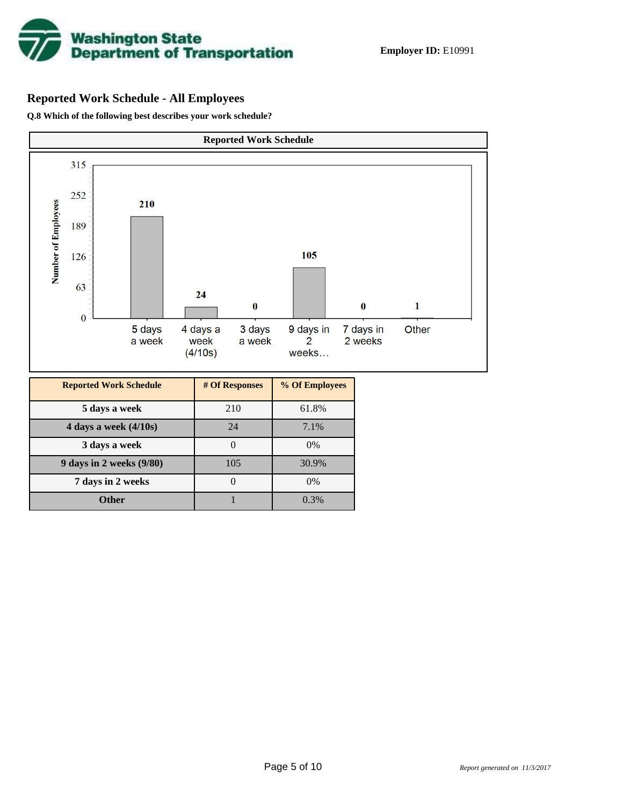

# **Reported Work Schedule - All Employees**

**Q.8 Which of the following best describes your work schedule?**

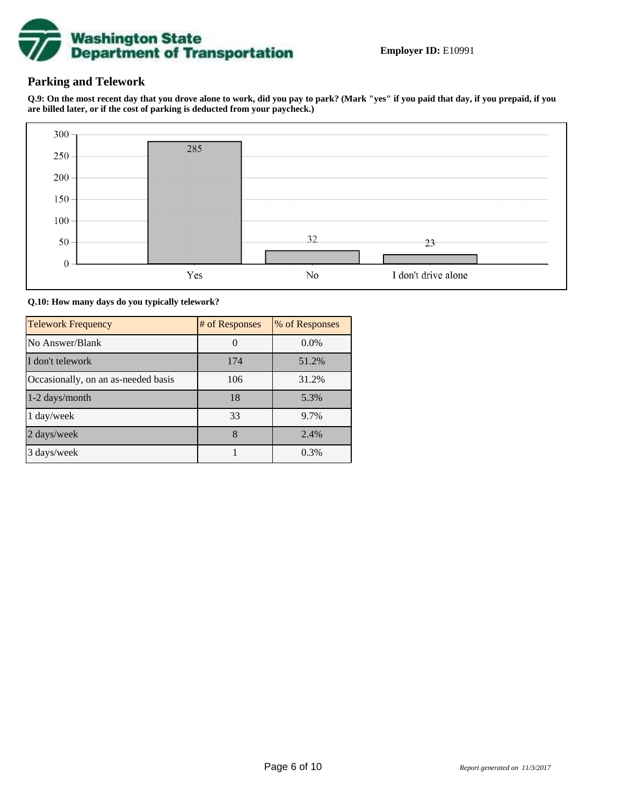

## **Parking and Telework**

**Q.9: On the most recent day that you drove alone to work, did you pay to park? (Mark "yes" if you paid that day, if you prepaid, if you are billed later, or if the cost of parking is deducted from your paycheck.)**



**Q.10: How many days do you typically telework?**

| <b>Telework Frequency</b>           | # of Responses | % of Responses |
|-------------------------------------|----------------|----------------|
| No Answer/Blank                     |                | $0.0\%$        |
| I don't telework                    | 174            | 51.2%          |
| Occasionally, on an as-needed basis | 106            | 31.2%          |
| 1-2 days/month                      | 18             | 5.3%           |
| 1 day/week                          | 33             | 9.7%           |
| 2 days/week                         | 8              | 2.4%           |
| 3 days/week                         |                | 0.3%           |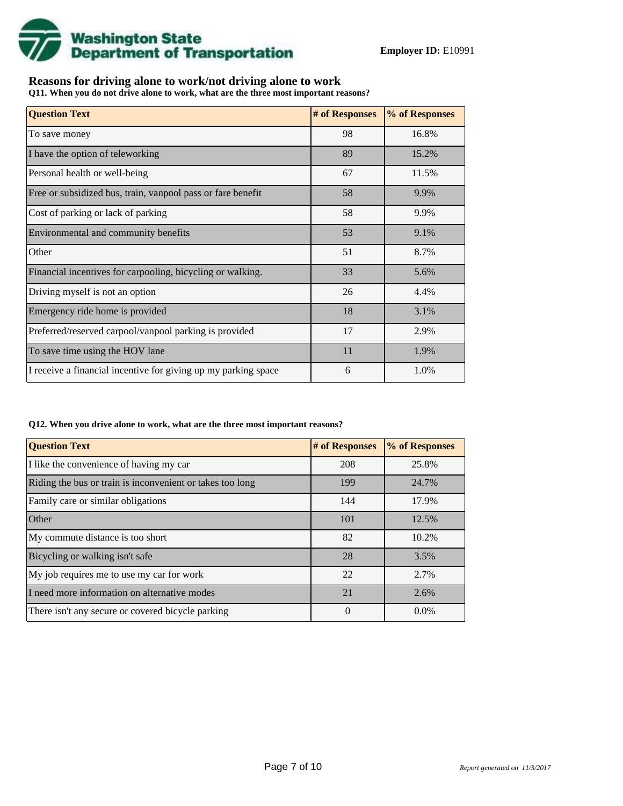

## **Reasons for driving alone to work/not driving alone to work**

**Q11. When you do not drive alone to work, what are the three most important reasons?**

| <b>Question Text</b>                                           | # of Responses | % of Responses |
|----------------------------------------------------------------|----------------|----------------|
| To save money                                                  | 98             | 16.8%          |
| I have the option of teleworking                               | 89             | 15.2%          |
| Personal health or well-being                                  | 67             | 11.5%          |
| Free or subsidized bus, train, vanpool pass or fare benefit    | 58             | 9.9%           |
| Cost of parking or lack of parking                             | 58             | 9.9%           |
| Environmental and community benefits                           | 53             | 9.1%           |
| Other                                                          | 51             | 8.7%           |
| Financial incentives for carpooling, bicycling or walking.     | 33             | 5.6%           |
| Driving myself is not an option                                | 26             | 4.4%           |
| Emergency ride home is provided                                | 18             | 3.1%           |
| Preferred/reserved carpool/vanpool parking is provided         | 17             | 2.9%           |
| To save time using the HOV lane                                | 11             | 1.9%           |
| I receive a financial incentive for giving up my parking space | 6              | 1.0%           |

#### **Q12. When you drive alone to work, what are the three most important reasons?**

| <b>Question Text</b>                                      | # of Responses | % of Responses |
|-----------------------------------------------------------|----------------|----------------|
| I like the convenience of having my car                   | 208            | 25.8%          |
| Riding the bus or train is inconvenient or takes too long | 199            | 24.7%          |
| Family care or similar obligations                        | 144            | 17.9%          |
| Other                                                     | 101            | 12.5%          |
| My commute distance is too short                          | 82             | 10.2%          |
| Bicycling or walking isn't safe                           | 28             | 3.5%           |
| My job requires me to use my car for work                 | 22             | 2.7%           |
| I need more information on alternative modes              | 21             | 2.6%           |
| There isn't any secure or covered bicycle parking         | $\theta$       | $0.0\%$        |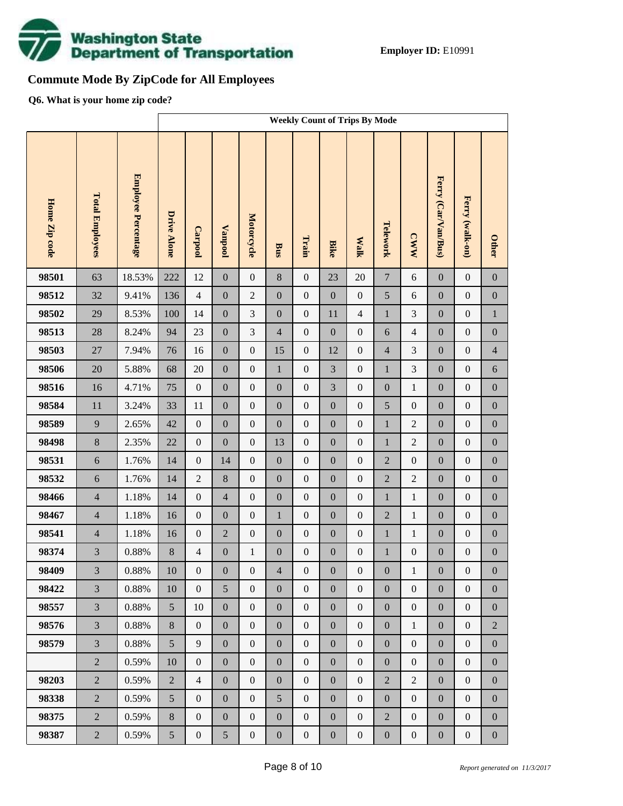

# **Commute Mode By ZipCode for All Employees**

**Q6. What is your home zip code?**

|               |                        |                            |                    | <b>Weekly Count of Trips By Mode</b> |                  |                  |                  |                  |                  |                  |                  |                  |                     |                  |                  |
|---------------|------------------------|----------------------------|--------------------|--------------------------------------|------------------|------------------|------------------|------------------|------------------|------------------|------------------|------------------|---------------------|------------------|------------------|
| Home Zip code | <b>Total Employees</b> | <b>Employee Percentage</b> | <b>Drive Alone</b> | Carpool                              | <b>Vanpool</b>   | Motorcycle       | <b>Bus</b>       | Train            | <b>Bike</b>      | <b>Walk</b>      | Telework         | <b>CWW</b>       | Ferry (Car/Van/Bus) | Ferry (walk-on)  | <b>Other</b>     |
| 98501         | 63                     | 18.53%                     | 222                | 12                                   | $\boldsymbol{0}$ | $\boldsymbol{0}$ | 8                | $\boldsymbol{0}$ | 23               | 20               | $\overline{7}$   | $6\,$            | $\mathbf{0}$        | $\boldsymbol{0}$ | $\boldsymbol{0}$ |
| 98512         | 32                     | 9.41%                      | 136                | $\overline{4}$                       | $\boldsymbol{0}$ | $\overline{2}$   | $\boldsymbol{0}$ | $\boldsymbol{0}$ | $\overline{0}$   | $\boldsymbol{0}$ | 5                | 6                | $\boldsymbol{0}$    | $\boldsymbol{0}$ | $\boldsymbol{0}$ |
| 98502         | 29                     | 8.53%                      | 100                | 14                                   | $\boldsymbol{0}$ | 3                | $\boldsymbol{0}$ | $\boldsymbol{0}$ | 11               | $\overline{4}$   | $\mathbf{1}$     | $\mathfrak{Z}$   | $\boldsymbol{0}$    | $\boldsymbol{0}$ | $\,1$            |
| 98513         | 28                     | 8.24%                      | 94                 | 23                                   | $\boldsymbol{0}$ | 3                | $\overline{4}$   | $\boldsymbol{0}$ | $\boldsymbol{0}$ | $\boldsymbol{0}$ | 6                | $\overline{4}$   | $\boldsymbol{0}$    | $\boldsymbol{0}$ | $\boldsymbol{0}$ |
| 98503         | $27\,$                 | 7.94%                      | 76                 | 16                                   | $\boldsymbol{0}$ | $\boldsymbol{0}$ | 15               | $\boldsymbol{0}$ | 12               | $\boldsymbol{0}$ | $\overline{4}$   | 3                | $\boldsymbol{0}$    | $\boldsymbol{0}$ | $\overline{4}$   |
| 98506         | 20                     | 5.88%                      | 68                 | 20                                   | $\boldsymbol{0}$ | $\boldsymbol{0}$ | $\mathbf{1}$     | $\boldsymbol{0}$ | $\overline{3}$   | $\boldsymbol{0}$ | $\mathbf{1}$     | 3                | $\boldsymbol{0}$    | $\boldsymbol{0}$ | $\sqrt{6}$       |
| 98516         | 16                     | 4.71%                      | 75                 | $\boldsymbol{0}$                     | $\boldsymbol{0}$ | $\boldsymbol{0}$ | $\boldsymbol{0}$ | $\boldsymbol{0}$ | 3                | $\boldsymbol{0}$ | $\boldsymbol{0}$ | $\mathbf{1}$     | $\boldsymbol{0}$    | $\boldsymbol{0}$ | $\boldsymbol{0}$ |
| 98584         | $11\,$                 | 3.24%                      | 33                 | 11                                   | $\boldsymbol{0}$ | $\boldsymbol{0}$ | $\boldsymbol{0}$ | $\boldsymbol{0}$ | $\overline{0}$   | $\boldsymbol{0}$ | 5                | $\boldsymbol{0}$ | $\boldsymbol{0}$    | $\boldsymbol{0}$ | $\boldsymbol{0}$ |
| 98589         | 9                      | 2.65%                      | 42                 | $\boldsymbol{0}$                     | $\boldsymbol{0}$ | $\boldsymbol{0}$ | $\boldsymbol{0}$ | $\boldsymbol{0}$ | $\boldsymbol{0}$ | $\boldsymbol{0}$ | $\mathbf{1}$     | $\overline{c}$   | $\boldsymbol{0}$    | $\boldsymbol{0}$ | $\boldsymbol{0}$ |
| 98498         | $\bf 8$                | 2.35%                      | 22                 | $\boldsymbol{0}$                     | $\boldsymbol{0}$ | $\boldsymbol{0}$ | 13               | $\boldsymbol{0}$ | $\overline{0}$   | $\boldsymbol{0}$ | $\mathbf{1}$     | $\overline{c}$   | $\boldsymbol{0}$    | $\boldsymbol{0}$ | $\boldsymbol{0}$ |
| 98531         | $\sqrt{6}$             | 1.76%                      | 14                 | $\boldsymbol{0}$                     | 14               | $\boldsymbol{0}$ | $\boldsymbol{0}$ | $\boldsymbol{0}$ | $\boldsymbol{0}$ | $\boldsymbol{0}$ | $\overline{2}$   | $\boldsymbol{0}$ | $\boldsymbol{0}$    | $\boldsymbol{0}$ | $\boldsymbol{0}$ |
| 98532         | $\sqrt{6}$             | 1.76%                      | 14                 | $\overline{2}$                       | $\,8\,$          | $\boldsymbol{0}$ | $\boldsymbol{0}$ | $\boldsymbol{0}$ | $\overline{0}$   | $\boldsymbol{0}$ | $\overline{2}$   | $\overline{2}$   | $\boldsymbol{0}$    | $\boldsymbol{0}$ | $\boldsymbol{0}$ |
| 98466         | $\overline{4}$         | 1.18%                      | 14                 | $\boldsymbol{0}$                     | $\overline{4}$   | $\boldsymbol{0}$ | $\boldsymbol{0}$ | $\boldsymbol{0}$ | $\boldsymbol{0}$ | $\boldsymbol{0}$ | $\mathbf{1}$     | $\mathbf{1}$     | $\boldsymbol{0}$    | $\boldsymbol{0}$ | $\boldsymbol{0}$ |
| 98467         | $\overline{4}$         | 1.18%                      | 16                 | $\boldsymbol{0}$                     | $\boldsymbol{0}$ | $\boldsymbol{0}$ | $\mathbf{1}$     | $\boldsymbol{0}$ | $\overline{0}$   | $\boldsymbol{0}$ | $\overline{2}$   | $\mathbf{1}$     | $\boldsymbol{0}$    | $\boldsymbol{0}$ | $\boldsymbol{0}$ |
| 98541         | $\overline{4}$         | 1.18%                      | 16                 | $\boldsymbol{0}$                     | $\overline{2}$   | $\boldsymbol{0}$ | $\boldsymbol{0}$ | $\boldsymbol{0}$ | $\boldsymbol{0}$ | $\boldsymbol{0}$ | $\mathbf{1}$     | $\mathbf{1}$     | $\boldsymbol{0}$    | $\boldsymbol{0}$ | $\boldsymbol{0}$ |
| 98374         | 3                      | $0.88\%$                   | $8\,$              | $\overline{4}$                       | $\boldsymbol{0}$ | $\mathbf{1}$     | $\boldsymbol{0}$ | $\boldsymbol{0}$ | $\mathbf{0}$     | $\boldsymbol{0}$ | $\mathbf{1}$     | $\boldsymbol{0}$ | $\boldsymbol{0}$    | $\boldsymbol{0}$ | $\boldsymbol{0}$ |
| 98409         | $\overline{3}$         | $0.88\%$                   | $10\,$             | $\boldsymbol{0}$                     | $\boldsymbol{0}$ | $\boldsymbol{0}$ | $\overline{4}$   | $\boldsymbol{0}$ | $\boldsymbol{0}$ | $\boldsymbol{0}$ | $\boldsymbol{0}$ | $\mathbf{1}$     | $\boldsymbol{0}$    | $\boldsymbol{0}$ | $\boldsymbol{0}$ |
| 98422         | $\overline{3}$         | 0.88%                      | 10                 | $\overline{0}$                       | 5                | $\overline{0}$   | $\overline{0}$   | $\boldsymbol{0}$ | $\overline{0}$   | $\boldsymbol{0}$ | $\boldsymbol{0}$ | $\boldsymbol{0}$ | $\boldsymbol{0}$    | $\boldsymbol{0}$ | $\overline{0}$   |
| 98557         | $\overline{3}$         | 0.88%                      | 5                  | 10                                   | $\boldsymbol{0}$ | $\boldsymbol{0}$ | $\boldsymbol{0}$ | $\boldsymbol{0}$ | $\overline{0}$   | $\boldsymbol{0}$ | $\boldsymbol{0}$ | $\boldsymbol{0}$ | $\boldsymbol{0}$    | $\boldsymbol{0}$ | $\boldsymbol{0}$ |
| 98576         | $\overline{3}$         | 0.88%                      | 8                  | $\boldsymbol{0}$                     | $\boldsymbol{0}$ | $\boldsymbol{0}$ | $\boldsymbol{0}$ | $\boldsymbol{0}$ | $\boldsymbol{0}$ | $\boldsymbol{0}$ | $\boldsymbol{0}$ | $\mathbf{1}$     | $\boldsymbol{0}$    | $\boldsymbol{0}$ | $\sqrt{2}$       |
| 98579         | $\overline{3}$         | 0.88%                      | 5                  | 9                                    | $\boldsymbol{0}$ | $\boldsymbol{0}$ | $\overline{0}$   | $\boldsymbol{0}$ | $\overline{0}$   | $\boldsymbol{0}$ | $\boldsymbol{0}$ | $\boldsymbol{0}$ | $\boldsymbol{0}$    | $\boldsymbol{0}$ | $\boldsymbol{0}$ |
|               | $\overline{2}$         | 0.59%                      | 10                 | $\overline{0}$                       | $\boldsymbol{0}$ | $\boldsymbol{0}$ | $\boldsymbol{0}$ | $\boldsymbol{0}$ | $\boldsymbol{0}$ | $\boldsymbol{0}$ | $\boldsymbol{0}$ | $\boldsymbol{0}$ | $\boldsymbol{0}$    | $\boldsymbol{0}$ | $\boldsymbol{0}$ |
| 98203         | $\overline{2}$         | 0.59%                      | $\overline{2}$     | $\overline{4}$                       | $\boldsymbol{0}$ | $\mathbf{0}$     | $\overline{0}$   | $\boldsymbol{0}$ | $\overline{0}$   | $\boldsymbol{0}$ | $\overline{2}$   | $\overline{2}$   | $\boldsymbol{0}$    | $\boldsymbol{0}$ | $\boldsymbol{0}$ |
| 98338         | $\overline{2}$         | 0.59%                      | 5                  | $\boldsymbol{0}$                     | $\boldsymbol{0}$ | $\boldsymbol{0}$ | 5                | $\boldsymbol{0}$ | $\boldsymbol{0}$ | $\boldsymbol{0}$ | $\boldsymbol{0}$ | $\boldsymbol{0}$ | $\boldsymbol{0}$    | $\boldsymbol{0}$ | $\boldsymbol{0}$ |
| 98375         | $\overline{2}$         | 0.59%                      | $8\,$              | $\boldsymbol{0}$                     | $\boldsymbol{0}$ | $\boldsymbol{0}$ | $\overline{0}$   | $\boldsymbol{0}$ | $\overline{0}$   | $\boldsymbol{0}$ | $\overline{2}$   | $\boldsymbol{0}$ | $\boldsymbol{0}$    | $\boldsymbol{0}$ | $\boldsymbol{0}$ |
| 98387         | $\overline{2}$         | 0.59%                      | 5                  | $\boldsymbol{0}$                     | 5                | $\boldsymbol{0}$ | $\boldsymbol{0}$ | $\boldsymbol{0}$ | $\boldsymbol{0}$ | $\boldsymbol{0}$ | $\boldsymbol{0}$ | $\boldsymbol{0}$ | $\boldsymbol{0}$    | $\boldsymbol{0}$ | $\boldsymbol{0}$ |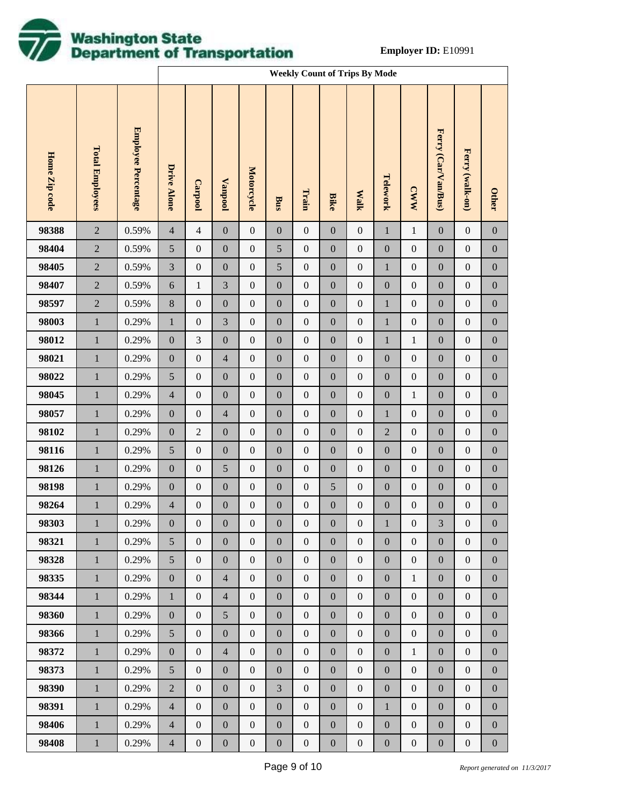

|               |                        |                     |                  | <b>Weekly Count of Trips By Mode</b> |                  |                   |                  |                  |                  |                  |                  |                  |                     |                  |                  |
|---------------|------------------------|---------------------|------------------|--------------------------------------|------------------|-------------------|------------------|------------------|------------------|------------------|------------------|------------------|---------------------|------------------|------------------|
| Home Zip code | <b>Total Employees</b> | Employee Percentage | Drive Alone      | Carpool                              | <b>Vanpool</b>   | <b>Motorcycle</b> | Bus              | Train            | <b>Bike</b>      | <b>Walk</b>      | Telework         | <b>CWW</b>       | Ferry (Car/Van/Bus) | Ferry (walk-on)  | <b>Other</b>     |
| 98388         | $\sqrt{2}$             | 0.59%               | $\overline{4}$   | $\overline{4}$                       | $\boldsymbol{0}$ | $\boldsymbol{0}$  | $\boldsymbol{0}$ | $\boldsymbol{0}$ | $\boldsymbol{0}$ | $\boldsymbol{0}$ | $\mathbf{1}$     | $\,1$            | $\boldsymbol{0}$    | $\boldsymbol{0}$ | $\boldsymbol{0}$ |
| 98404         | $\sqrt{2}$             | 0.59%               | $\sqrt{5}$       | $\boldsymbol{0}$                     | $\boldsymbol{0}$ | $\boldsymbol{0}$  | 5                | $\boldsymbol{0}$ | $\boldsymbol{0}$ | $\boldsymbol{0}$ | $\boldsymbol{0}$ | $\boldsymbol{0}$ | $\boldsymbol{0}$    | $\boldsymbol{0}$ | $\boldsymbol{0}$ |
| 98405         | $\sqrt{2}$             | 0.59%               | $\mathfrak{Z}$   | $\boldsymbol{0}$                     | $\boldsymbol{0}$ | $\boldsymbol{0}$  | 5                | $\boldsymbol{0}$ | $\boldsymbol{0}$ | $\boldsymbol{0}$ | $\mathbf{1}$     | $\boldsymbol{0}$ | $\boldsymbol{0}$    | $\boldsymbol{0}$ | $\boldsymbol{0}$ |
| 98407         | $\sqrt{2}$             | 0.59%               | $\sqrt{6}$       | $\,1$                                | 3                | $\boldsymbol{0}$  | $\boldsymbol{0}$ | $\boldsymbol{0}$ | $\boldsymbol{0}$ | $\boldsymbol{0}$ | $\boldsymbol{0}$ | $\boldsymbol{0}$ | $\boldsymbol{0}$    | $\boldsymbol{0}$ | $\boldsymbol{0}$ |
| 98597         | $\sqrt{2}$             | 0.59%               | $8\,$            | $\boldsymbol{0}$                     | $\boldsymbol{0}$ | $\boldsymbol{0}$  | $\boldsymbol{0}$ | $\boldsymbol{0}$ | $\boldsymbol{0}$ | $\boldsymbol{0}$ | $\,1$            | $\boldsymbol{0}$ | $\boldsymbol{0}$    | $\boldsymbol{0}$ | $\boldsymbol{0}$ |
| 98003         | $\,1$                  | 0.29%               | $\mathbf{1}$     | $\boldsymbol{0}$                     | 3                | $\boldsymbol{0}$  | $\boldsymbol{0}$ | $\boldsymbol{0}$ | $\boldsymbol{0}$ | $\boldsymbol{0}$ | $\mathbf{1}$     | $\boldsymbol{0}$ | $\boldsymbol{0}$    | $\boldsymbol{0}$ | $\boldsymbol{0}$ |
| 98012         | $\mathbf 1$            | 0.29%               | $\boldsymbol{0}$ | 3                                    | $\boldsymbol{0}$ | $\boldsymbol{0}$  | $\boldsymbol{0}$ | $\boldsymbol{0}$ | $\boldsymbol{0}$ | $\boldsymbol{0}$ | $\,1$            | $\mathbf{1}$     | $\boldsymbol{0}$    | $\boldsymbol{0}$ | $\boldsymbol{0}$ |
| 98021         | $\,1$                  | 0.29%               | $\boldsymbol{0}$ | $\boldsymbol{0}$                     | $\overline{4}$   | $\boldsymbol{0}$  | $\boldsymbol{0}$ | $\boldsymbol{0}$ | $\boldsymbol{0}$ | $\boldsymbol{0}$ | $\boldsymbol{0}$ | $\boldsymbol{0}$ | $\boldsymbol{0}$    | $\boldsymbol{0}$ | $\boldsymbol{0}$ |
| 98022         | $\mathbf 1$            | 0.29%               | $\mathfrak{S}$   | $\boldsymbol{0}$                     | $\boldsymbol{0}$ | $\boldsymbol{0}$  | $\boldsymbol{0}$ | $\boldsymbol{0}$ | $\boldsymbol{0}$ | $\boldsymbol{0}$ | $\boldsymbol{0}$ | $\boldsymbol{0}$ | $\boldsymbol{0}$    | $\boldsymbol{0}$ | $\boldsymbol{0}$ |
| 98045         | $\,1$                  | 0.29%               | $\overline{4}$   | $\boldsymbol{0}$                     | $\boldsymbol{0}$ | $\boldsymbol{0}$  | $\boldsymbol{0}$ | $\boldsymbol{0}$ | $\boldsymbol{0}$ | $\boldsymbol{0}$ | $\boldsymbol{0}$ | $\mathbf{1}$     | $\boldsymbol{0}$    | $\boldsymbol{0}$ | $\boldsymbol{0}$ |
| 98057         | $\mathbf 1$            | 0.29%               | $\boldsymbol{0}$ | $\boldsymbol{0}$                     | $\overline{4}$   | $\boldsymbol{0}$  | $\boldsymbol{0}$ | $\boldsymbol{0}$ | $\boldsymbol{0}$ | $\boldsymbol{0}$ | $\mathbf{1}$     | $\boldsymbol{0}$ | $\boldsymbol{0}$    | $\boldsymbol{0}$ | $\boldsymbol{0}$ |
| 98102         | $\,1$                  | 0.29%               | $\boldsymbol{0}$ | $\overline{c}$                       | $\boldsymbol{0}$ | $\boldsymbol{0}$  | $\boldsymbol{0}$ | $\boldsymbol{0}$ | $\boldsymbol{0}$ | $\boldsymbol{0}$ | $\sqrt{2}$       | $\boldsymbol{0}$ | $\boldsymbol{0}$    | $\boldsymbol{0}$ | $\boldsymbol{0}$ |
| 98116         | $\mathbf 1$            | 0.29%               | $\sqrt{5}$       | $\boldsymbol{0}$                     | $\boldsymbol{0}$ | $\boldsymbol{0}$  | $\boldsymbol{0}$ | $\boldsymbol{0}$ | $\boldsymbol{0}$ | $\boldsymbol{0}$ | $\boldsymbol{0}$ | $\boldsymbol{0}$ | $\boldsymbol{0}$    | $\boldsymbol{0}$ | $\boldsymbol{0}$ |
| 98126         | $\,1$                  | 0.29%               | $\boldsymbol{0}$ | $\boldsymbol{0}$                     | 5                | $\boldsymbol{0}$  | $\boldsymbol{0}$ | $\boldsymbol{0}$ | $\boldsymbol{0}$ | $\boldsymbol{0}$ | $\boldsymbol{0}$ | $\boldsymbol{0}$ | $\boldsymbol{0}$    | $\boldsymbol{0}$ | $\boldsymbol{0}$ |
| 98198         | $\,1$                  | 0.29%               | $\boldsymbol{0}$ | $\boldsymbol{0}$                     | $\boldsymbol{0}$ | $\boldsymbol{0}$  | $\boldsymbol{0}$ | $\boldsymbol{0}$ | 5                | $\boldsymbol{0}$ | $\boldsymbol{0}$ | $\boldsymbol{0}$ | $\boldsymbol{0}$    | $\boldsymbol{0}$ | $\boldsymbol{0}$ |
| 98264         | $\,1$                  | 0.29%               | $\sqrt{4}$       | $\boldsymbol{0}$                     | $\boldsymbol{0}$ | $\boldsymbol{0}$  | $\boldsymbol{0}$ | $\boldsymbol{0}$ | $\boldsymbol{0}$ | $\boldsymbol{0}$ | $\boldsymbol{0}$ | $\boldsymbol{0}$ | $\boldsymbol{0}$    | $\boldsymbol{0}$ | $\boldsymbol{0}$ |
| 98303         | $\mathbf{1}$           | 0.29%               | $\boldsymbol{0}$ | $\boldsymbol{0}$                     | $\boldsymbol{0}$ | $\boldsymbol{0}$  | $\boldsymbol{0}$ | $\boldsymbol{0}$ | $\boldsymbol{0}$ | $\boldsymbol{0}$ | $\mathbf{1}$     | $\boldsymbol{0}$ | 3                   | $\boldsymbol{0}$ | $\boldsymbol{0}$ |
| 98321         | $\mathbf{1}$           | 0.29%               | $\mathfrak{S}$   | $\mathbf{0}$                         | $\overline{0}$   | $\mathbf{0}$      | $\mathbf{0}$     | $\boldsymbol{0}$ | $\boldsymbol{0}$ | $\mathbf{0}$     | $\boldsymbol{0}$ | $\boldsymbol{0}$ | $\boldsymbol{0}$    | $\mathbf{0}$     | $\mathbf{0}$     |
| 98328         | $\mathbf{1}$           | 0.29%               | $\mathfrak{S}$   | $\mathbf{0}$                         | $\mathbf{0}$     | $\boldsymbol{0}$  | $\boldsymbol{0}$ | $\boldsymbol{0}$ | $\boldsymbol{0}$ | $\boldsymbol{0}$ | $\boldsymbol{0}$ | $\boldsymbol{0}$ | $\boldsymbol{0}$    | $\boldsymbol{0}$ | $\boldsymbol{0}$ |
| 98335         | $\mathbf{1}$           | 0.29%               | $\boldsymbol{0}$ | $\mathbf{0}$                         | $\overline{4}$   | $\boldsymbol{0}$  | $\boldsymbol{0}$ | $\boldsymbol{0}$ | $\boldsymbol{0}$ | $\boldsymbol{0}$ | $\boldsymbol{0}$ | $\mathbf{1}$     | $\boldsymbol{0}$    | $\boldsymbol{0}$ | $\boldsymbol{0}$ |
| 98344         | $\mathbf{1}$           | 0.29%               | $\mathbf{1}$     | $\mathbf{0}$                         | $\overline{4}$   | $\boldsymbol{0}$  | $\boldsymbol{0}$ | $\boldsymbol{0}$ | $\boldsymbol{0}$ | $\boldsymbol{0}$ | $\boldsymbol{0}$ | $\boldsymbol{0}$ | $\boldsymbol{0}$    | $\boldsymbol{0}$ | $\boldsymbol{0}$ |
| 98360         | $\mathbf{1}$           | 0.29%               | $\boldsymbol{0}$ | $\mathbf{0}$                         | 5                | $\boldsymbol{0}$  | $\boldsymbol{0}$ | $\boldsymbol{0}$ | $\boldsymbol{0}$ | $\boldsymbol{0}$ | $\boldsymbol{0}$ | $\boldsymbol{0}$ | $\boldsymbol{0}$    | $\boldsymbol{0}$ | $\boldsymbol{0}$ |
| 98366         | $\mathbf{1}$           | 0.29%               | $\mathfrak{S}$   | $\mathbf{0}$                         | $\boldsymbol{0}$ | $\boldsymbol{0}$  | $\boldsymbol{0}$ | $\boldsymbol{0}$ | $\boldsymbol{0}$ | $\boldsymbol{0}$ | $\boldsymbol{0}$ | $\boldsymbol{0}$ | $\boldsymbol{0}$    | $\boldsymbol{0}$ | $\boldsymbol{0}$ |
| 98372         | $\mathbf{1}$           | 0.29%               | $\boldsymbol{0}$ | $\mathbf{0}$                         | $\overline{4}$   | $\boldsymbol{0}$  | $\boldsymbol{0}$ | $\boldsymbol{0}$ | $\boldsymbol{0}$ | $\boldsymbol{0}$ | $\boldsymbol{0}$ | $\mathbf{1}$     | $\boldsymbol{0}$    | $\boldsymbol{0}$ | $\boldsymbol{0}$ |
| 98373         | $\mathbf{1}$           | 0.29%               | $\mathfrak{S}$   | $\mathbf{0}$                         | $\mathbf{0}$     | $\boldsymbol{0}$  | $\boldsymbol{0}$ | $\boldsymbol{0}$ | $\boldsymbol{0}$ | $\boldsymbol{0}$ | $\boldsymbol{0}$ | $\boldsymbol{0}$ | $\boldsymbol{0}$    | $\boldsymbol{0}$ | $\boldsymbol{0}$ |
| 98390         | $\mathbf{1}$           | 0.29%               | $\overline{2}$   | $\mathbf{0}$                         | $\mathbf{0}$     | $\boldsymbol{0}$  | 3                | $\boldsymbol{0}$ | $\boldsymbol{0}$ | $\boldsymbol{0}$ | $\boldsymbol{0}$ | $\boldsymbol{0}$ | $\boldsymbol{0}$    | $\boldsymbol{0}$ | $\boldsymbol{0}$ |
| 98391         | $\mathbf{1}$           | 0.29%               | $\overline{4}$   | $\mathbf{0}$                         | $\mathbf{0}$     | $\boldsymbol{0}$  | $\boldsymbol{0}$ | $\boldsymbol{0}$ | $\boldsymbol{0}$ | $\boldsymbol{0}$ | $\mathbf{1}$     | $\boldsymbol{0}$ | $\boldsymbol{0}$    | $\boldsymbol{0}$ | $\boldsymbol{0}$ |
| 98406         | $\mathbf{1}$           | 0.29%               | $\overline{4}$   | $\mathbf{0}$                         | $\boldsymbol{0}$ | $\boldsymbol{0}$  | $\boldsymbol{0}$ | $\boldsymbol{0}$ | $\boldsymbol{0}$ | $\boldsymbol{0}$ | $\boldsymbol{0}$ | $\boldsymbol{0}$ | $\boldsymbol{0}$    | $\boldsymbol{0}$ | $\boldsymbol{0}$ |
| 98408         | $\mathbf{1}$           | 0.29%               | $\overline{4}$   | $\boldsymbol{0}$                     | $\boldsymbol{0}$ | $\boldsymbol{0}$  | $\boldsymbol{0}$ | $\boldsymbol{0}$ | $\boldsymbol{0}$ | $\boldsymbol{0}$ | $\boldsymbol{0}$ | $\boldsymbol{0}$ | $\boldsymbol{0}$    | $\boldsymbol{0}$ | $\boldsymbol{0}$ |